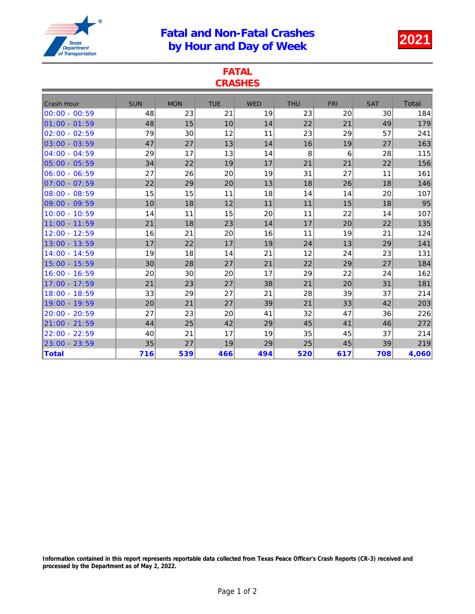## Fatal and Non-Fatal Crashes atal and Non-Fatal Crashes<br>by Hour and Day of Week 2021



| <b>FATAL</b><br><b>CRASHES</b> |            |            |            |            |            |            |            |              |  |  |  |  |
|--------------------------------|------------|------------|------------|------------|------------|------------|------------|--------------|--|--|--|--|
| <b>Crash Hour</b>              | <b>SUN</b> | <b>MON</b> | <b>TUE</b> | <b>WED</b> | <b>THU</b> | <b>FRI</b> | <b>SAT</b> | <b>Total</b> |  |  |  |  |
| $00:00 - 00:59$                | 48         | 23         | 21         | 19         | 23         | 20         | 30         | 184          |  |  |  |  |
| $01:00 - 01:59$                | 48         | 15         | 10         | 14         | 22         | 21         | 49         | 179          |  |  |  |  |
| $02:00 - 02:59$                | 79         | 30         | 12         | 11         | 23         | 29         | 57         | 241          |  |  |  |  |
| $03:00 - 03:59$                | 47         | 27         | 13         | 14         | 16         | 19         | 27         | 163          |  |  |  |  |
| $04:00 - 04:59$                | 29         | 17         | 13         | 14         | 8          | 6          | 28         | 115          |  |  |  |  |
| $05:00 - 05:59$                | 34         | 22         | 19         | 17         | 21         | 21         | 22         | 156          |  |  |  |  |
| $06:00 - 06:59$                | 27         | 26         | 20         | 19         | 31         | 27         | 11         | 161          |  |  |  |  |
| $07:00 - 07:59$                | 22         | 29         | 20         | 13         | 18         | 26         | 18         | 146          |  |  |  |  |
| $08:00 - 08:59$                | 15         | 15         | 11         | 18         | 14         | 14         | 20         | 107          |  |  |  |  |
| $09:00 - 09:59$                | 10         | 18         | 12         | 11         | 11         | 15         | 18         | 95           |  |  |  |  |
| $10:00 - 10:59$                | 14         | 11         | 15         | 20         | 11         | 22         | 14         | 107          |  |  |  |  |
| 11:00 - 11:59                  | 21         | 18         | 23         | 14         | 17         | 20         | 22         | 135          |  |  |  |  |
| 12:00 - 12:59                  | 16         | 21         | 20         | 16         | 11         | 19         | 21         | 124          |  |  |  |  |
| 13:00 - 13:59                  | 17         | 22         | 17         | 19         | 24         | 13         | 29         | 141          |  |  |  |  |
| 14:00 - 14:59                  | 19         | 18         | 14         | 21         | 12         | 24         | 23         | 131          |  |  |  |  |
| 15:00 - 15:59                  | 30         | 28         | 27         | 21         | 22         | 29         | 27         | 184          |  |  |  |  |
| 16:00 - 16:59                  | 20         | 30         | 20         | 17         | 29         | 22         | 24         | 162          |  |  |  |  |
| 17:00 - 17:59                  | 21         | 23         | 27         | 38         | 21         | 20         | 31         | 181          |  |  |  |  |
| 18:00 - 18:59                  | 33         | 29         | 27         | 21         | 28         | 39         | 37         | 214          |  |  |  |  |
| 19:00 - 19:59                  | 20         | 21         | 27         | 39         | 21         | 33         | 42         | 203          |  |  |  |  |
| 20:00 - 20:59                  | 27         | 23         | 20         | 41         | 32         | 47         | 36         | 226          |  |  |  |  |
| 21:00 - 21:59                  | 44         | 25         | 42         | 29         | 45         | 41         | 46         | 272          |  |  |  |  |
| 22:00 - 22:59                  | 40         | 21         | 17         | 19         | 35         | 45         | 37         | 214          |  |  |  |  |
| 23:00 - 23:59                  | 35         | 27         | 19         | 29         | 25         | 45         | 39         | 219          |  |  |  |  |
| <b>Total</b>                   | 716        | 539        | 466        | 494        | 520        | 617        | 708        | 4,060        |  |  |  |  |

Information contained in this report represents reportable data collected from Texas Peace Officer's Crash Reports (CR-3) received and processed by the Department as of May 2, 2022.